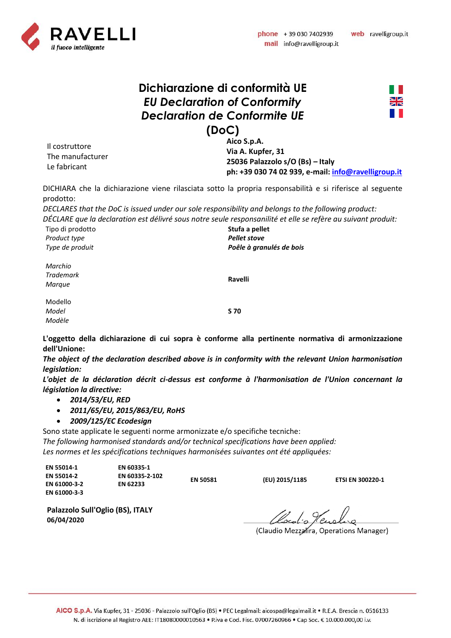

web ravelligroup.it

## **Dichiarazione di conformità UE** *EU Declaration of Conformity Declaration de Conformite UE* **(DoC)**



Il costruttore The manufacturer Le fabricant

**Aico S.p.A. Via A. Kupfer, 31 25036 Palazzolo s/O (Bs) – Italy ph: +39 030 74 02 939, e-mail: [info@ravelligroup.it](mailto:info@ravelligroup.it)**

DICHIARA che la dichiarazione viene rilasciata sotto la propria responsabilità e si riferisce al seguente prodotto:

*DECLARES that the DoC is issued under our sole responsibility and belongs to the following product:*

*DÉCLARE que la declaration est délivré sous notre seule responsanilité et elle se refère au suivant produit:*

Tipo di prodotto *Product type Type de produit* **Stufa a pellet** *Pellet stove Poêle à granulés de bois Marchio Trademark Marque* **Ravelli**

Modello *Model Modèle*

**S 70**

**L'oggetto della dichiarazione di cui sopra è conforme alla pertinente normativa di armonizzazione dell'Unione:**

*The object of the declaration described above is in conformity with the relevant Union harmonisation legislation:*

*L'objet de la déclaration décrit ci-dessus est conforme à l'harmonisation de l'Union concernant la législation la directive:*

- *2014/53/EU, RED*
- *2011/65/EU, 2015/863/EU, RoHS*
- *2009/125/EC Ecodesign*

Sono state applicate le seguenti norme armonizzate e/o specifiche tecniche: *The following harmonised standards and/or technical specifications have been applied: Les normes et les spécifications techniques harmonisées suivantes ont été appliquées:*

| EN 55014-1<br><b>EN 55014-2</b><br>EN 61000-3-2 | EN 60335-1<br>EN 60335-2-102<br>EN 62233 | <b>EN 50581</b> | (EU) 2015/1185 | <b>ETSI EN 300220-1</b> |
|-------------------------------------------------|------------------------------------------|-----------------|----------------|-------------------------|
| EN 61000-3-3                                    |                                          |                 |                |                         |

**Palazzolo Sull'Oglio (BS), ITALY 06/04/2020**

Cloudis Hending

(Claudio Mezzalira, Operations Manager)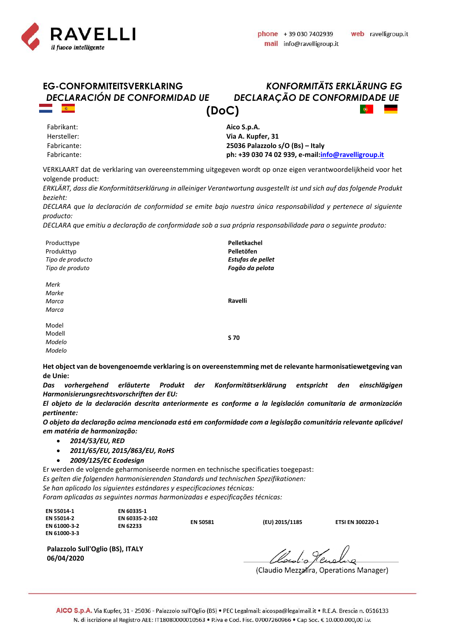



Fabrikant: Hersteller: Fabricante: Fabricante: **Aico S.p.A. Via A. Kupfer, 31 25036 Palazzolo s/O (Bs) – Italy ph: +39 030 74 02 939, e-mail[:info@ravelligroup.it](mailto:info@ravelligroup.it)**

VERKLAART dat de verklaring van overeenstemming uitgegeven wordt op onze eigen verantwoordelijkheid voor het volgende product:

*ERKLÄRT, dass die Konformitätserklärung in alleiniger Verantwortung ausgestellt ist und sich auf das folgende Produkt bezieht:*

*DECLARA que la declaración de conformidad se emite bajo nuestra única responsabilidad y pertenece al siguiente producto:*

*DECLARA que emitiu a declaração de conformidade sob a sua própria responsabilidade para o seguinte produto:*

| Producttype<br>Produkttyp<br>Tipo de producto<br>Tipo de produto | Pelletkachel<br>Pelletöfen<br>Estufas de pellet<br>Fogão da pelota |
|------------------------------------------------------------------|--------------------------------------------------------------------|
| Merk<br>Marke<br>Marca                                           | Ravelli                                                            |
| Marca                                                            |                                                                    |
| Model                                                            |                                                                    |
| Modell                                                           |                                                                    |
| Modelo                                                           | S 70                                                               |
| Modelo                                                           |                                                                    |

**Het object van de bovengenoemde verklaring is on overeenstemming met de relevante harmonisatiewetgeving van de Unie:**

*Das vorhergehend erläuterte Produkt der Konformitätserklärung entspricht den einschlägigen Harmonisierungsrechtsvorschriften der EU:*

*El objeto de la declaración descrita anteriormente es conforme a la legislación comunitaria de armonización pertinente:*

*O objeto da declaração acima mencionada está em conformidade com a legislação comunitária relevante aplicável em matéria de harmonização:*

- *2014/53/EU, RED*
- *2011/65/EU, 2015/863/EU, RoHS*
- *2009/125/EC Ecodesign*

Er werden de volgende geharmoniseerde normen en technische specificaties toegepast: *Es gelten die folgenden harmonisierenden Standards und technischen Spezifikationen: Se han aplicado los siguientes estándares y especificaciones técnicas:*

*Foram aplicadas as seguintes normas harmonizadas e especificações técnicas:*

**EN 55014-1 EN 55014-2 EN 61000-3-2 EN 61000-3-3** **EN 60335-1 EN 60335-2-102 EN 62233 EN 50581 (EU) 2015/1185 ETSI EN 300220-1**

**Palazzolo Sull'Oglio (BS), ITALY 06/04/2020**

Claudio Tenela a